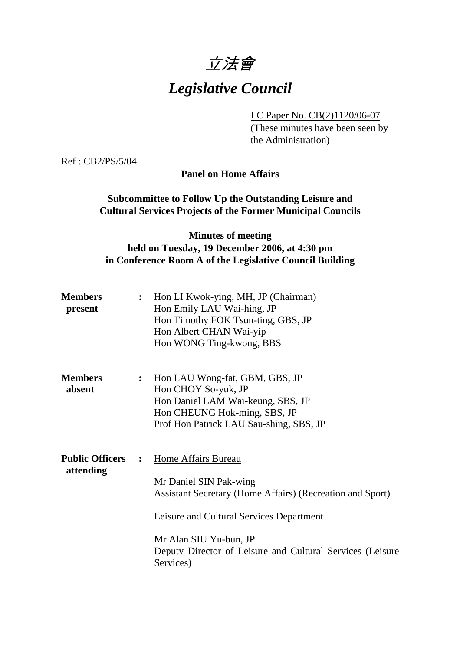# 立法會

# *Legislative Council*

LC Paper No. CB(2)1120/06-07

(These minutes have been seen by the Administration)

Ref : CB2/PS/5/04

**Panel on Home Affairs** 

### **Subcommittee to Follow Up the Outstanding Leisure and Cultural Services Projects of the Former Municipal Councils**

# **Minutes of meeting held on Tuesday, 19 December 2006, at 4:30 pm in Conference Room A of the Legislative Council Building**

| <b>Members</b><br>present           | $\ddot{\cdot}$ | Hon LI Kwok-ying, MH, JP (Chairman)<br>Hon Emily LAU Wai-hing, JP<br>Hon Timothy FOK Tsun-ting, GBS, JP<br>Hon Albert CHAN Wai-yip<br>Hon WONG Ting-kwong, BBS                                                                                                    |
|-------------------------------------|----------------|-------------------------------------------------------------------------------------------------------------------------------------------------------------------------------------------------------------------------------------------------------------------|
| <b>Members</b><br>absent            | $\ddot{\cdot}$ | Hon LAU Wong-fat, GBM, GBS, JP<br>Hon CHOY So-yuk, JP<br>Hon Daniel LAM Wai-keung, SBS, JP<br>Hon CHEUNG Hok-ming, SBS, JP<br>Prof Hon Patrick LAU Sau-shing, SBS, JP                                                                                             |
| <b>Public Officers</b><br>attending | $\mathbf{r}$   | Home Affairs Bureau<br>Mr Daniel SIN Pak-wing<br>Assistant Secretary (Home Affairs) (Recreation and Sport)<br><b>Leisure and Cultural Services Department</b><br>Mr Alan SIU Yu-bun, JP<br>Deputy Director of Leisure and Cultural Services (Leisure<br>Services) |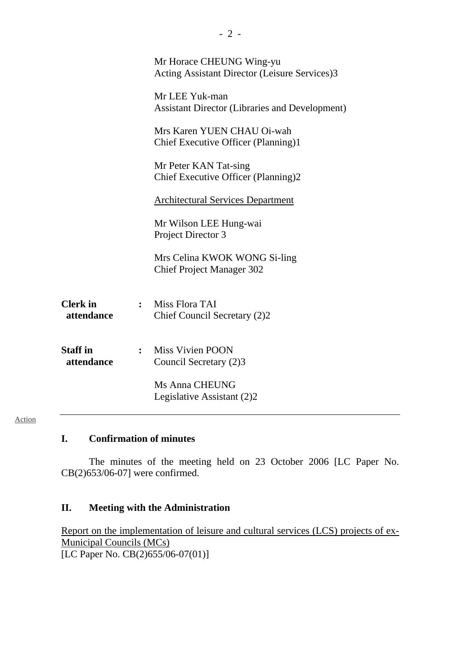|                               | Mr Horace CHEUNG Wing-yu<br>Acting Assistant Director (Leisure Services)3 |
|-------------------------------|---------------------------------------------------------------------------|
|                               | Mr LEE Yuk-man<br><b>Assistant Director (Libraries and Development)</b>   |
|                               | Mrs Karen YUEN CHAU Oi-wah<br>Chief Executive Officer (Planning)1         |
|                               | Mr Peter KAN Tat-sing<br>Chief Executive Officer (Planning)2              |
|                               | <b>Architectural Services Department</b>                                  |
|                               | Mr Wilson LEE Hung-wai<br>Project Director 3                              |
|                               | Mrs Celina KWOK WONG Si-ling<br><b>Chief Project Manager 302</b>          |
| <b>Clerk</b> in<br>attendance | : Miss Flora TAI<br>Chief Council Secretary (2)2                          |
| <b>Staff</b> in<br>attendance | : Miss Vivien POON<br>Council Secretary (2)3                              |
|                               | Ms Anna CHEUNG<br>Legislative Assistant (2)2                              |
|                               |                                                                           |

- 2 -

#### Action

### **I. Confirmation of minutes**

The minutes of the meeting held on 23 October 2006 [LC Paper No. CB(2)653/06-07] were confirmed.

#### **II. Meeting with the Administration**

Report on the implementation of leisure and cultural services (LCS) projects of ex-Municipal Councils (MCs) [LC Paper No. CB(2)655/06-07(01)]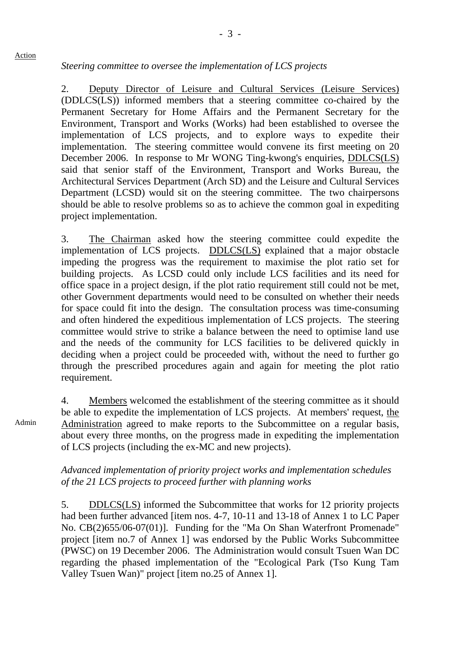#### *Steering committee to oversee the implementation of LCS projects*

2. Deputy Director of Leisure and Cultural Services (Leisure Services) (DDLCS(LS)) informed members that a steering committee co-chaired by the Permanent Secretary for Home Affairs and the Permanent Secretary for the Environment, Transport and Works (Works) had been established to oversee the implementation of LCS projects, and to explore ways to expedite their implementation. The steering committee would convene its first meeting on 20 December 2006. In response to Mr WONG Ting-kwong's enquiries, DDLCS(LS) said that senior staff of the Environment, Transport and Works Bureau, the Architectural Services Department (Arch SD) and the Leisure and Cultural Services Department (LCSD) would sit on the steering committee. The two chairpersons should be able to resolve problems so as to achieve the common goal in expediting project implementation.

3. The Chairman asked how the steering committee could expedite the implementation of LCS projects. DDLCS(LS) explained that a major obstacle impeding the progress was the requirement to maximise the plot ratio set for building projects. As LCSD could only include LCS facilities and its need for office space in a project design, if the plot ratio requirement still could not be met, other Government departments would need to be consulted on whether their needs for space could fit into the design. The consultation process was time-consuming and often hindered the expeditious implementation of LCS projects. The steering committee would strive to strike a balance between the need to optimise land use and the needs of the community for LCS facilities to be delivered quickly in deciding when a project could be proceeded with, without the need to further go through the prescribed procedures again and again for meeting the plot ratio requirement.

4. Members welcomed the establishment of the steering committee as it should be able to expedite the implementation of LCS projects. At members' request, the Administration agreed to make reports to the Subcommittee on a regular basis, about every three months, on the progress made in expediting the implementation of LCS projects (including the ex-MC and new projects).

#### *Advanced implementation of priority project works and implementation schedules of the 21 LCS projects to proceed further with planning works*

5. DDLCS(LS) informed the Subcommittee that works for 12 priority projects had been further advanced [item nos. 4-7, 10-11 and 13-18 of Annex 1 to LC Paper No. CB(2)655/06-07(01)]. Funding for the "Ma On Shan Waterfront Promenade" project [item no.7 of Annex 1] was endorsed by the Public Works Subcommittee (PWSC) on 19 December 2006. The Administration would consult Tsuen Wan DC regarding the phased implementation of the "Ecological Park (Tso Kung Tam Valley Tsuen Wan)" project [item no.25 of Annex 1].

Admin

Action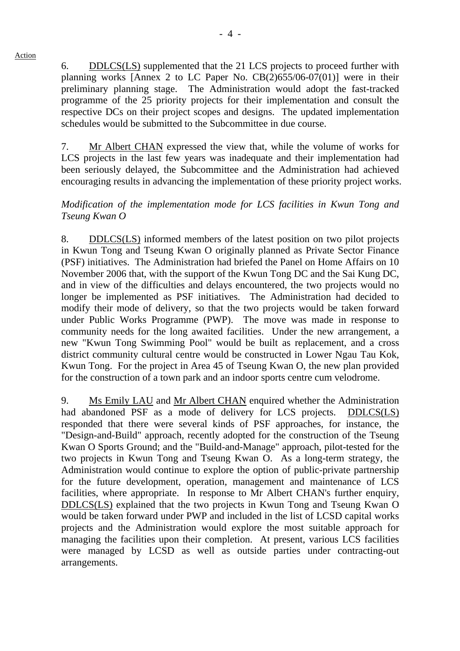Action

6. DDLCS(LS) supplemented that the 21 LCS projects to proceed further with planning works [Annex 2 to LC Paper No. CB(2)655/06-07(01)] were in their preliminary planning stage. The Administration would adopt the fast-tracked programme of the 25 priority projects for their implementation and consult the respective DCs on their project scopes and designs. The updated implementation schedules would be submitted to the Subcommittee in due course.

7. Mr Albert CHAN expressed the view that, while the volume of works for LCS projects in the last few years was inadequate and their implementation had been seriously delayed, the Subcommittee and the Administration had achieved encouraging results in advancing the implementation of these priority project works.

#### *Modification of the implementation mode for LCS facilities in Kwun Tong and Tseung Kwan O*

8. DDLCS(LS) informed members of the latest position on two pilot projects in Kwun Tong and Tseung Kwan O originally planned as Private Sector Finance (PSF) initiatives. The Administration had briefed the Panel on Home Affairs on 10 November 2006 that, with the support of the Kwun Tong DC and the Sai Kung DC, and in view of the difficulties and delays encountered, the two projects would no longer be implemented as PSF initiatives. The Administration had decided to modify their mode of delivery, so that the two projects would be taken forward under Public Works Programme (PWP). The move was made in response to community needs for the long awaited facilities. Under the new arrangement, a new "Kwun Tong Swimming Pool" would be built as replacement, and a cross district community cultural centre would be constructed in Lower Ngau Tau Kok, Kwun Tong. For the project in Area 45 of Tseung Kwan O, the new plan provided for the construction of a town park and an indoor sports centre cum velodrome.

9. Ms Emily LAU and Mr Albert CHAN enquired whether the Administration had abandoned PSF as a mode of delivery for LCS projects. DDLCS(LS) responded that there were several kinds of PSF approaches, for instance, the "Design-and-Build" approach, recently adopted for the construction of the Tseung Kwan O Sports Ground; and the "Build-and-Manage" approach, pilot-tested for the two projects in Kwun Tong and Tseung Kwan O. As a long-term strategy, the Administration would continue to explore the option of public-private partnership for the future development, operation, management and maintenance of LCS facilities, where appropriate. In response to Mr Albert CHAN's further enquiry, DDLCS(LS) explained that the two projects in Kwun Tong and Tseung Kwan O would be taken forward under PWP and included in the list of LCSD capital works projects and the Administration would explore the most suitable approach for managing the facilities upon their completion. At present, various LCS facilities were managed by LCSD as well as outside parties under contracting-out arrangements.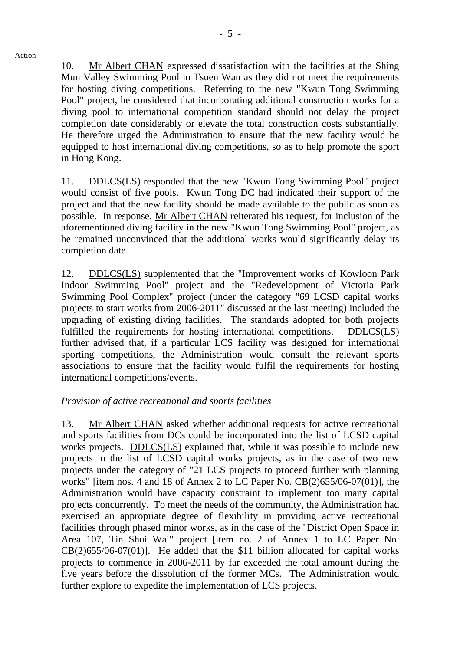Action

10. Mr Albert CHAN expressed dissatisfaction with the facilities at the Shing Mun Valley Swimming Pool in Tsuen Wan as they did not meet the requirements for hosting diving competitions. Referring to the new "Kwun Tong Swimming Pool" project, he considered that incorporating additional construction works for a diving pool to international competition standard should not delay the project completion date considerably or elevate the total construction costs substantially. He therefore urged the Administration to ensure that the new facility would be equipped to host international diving competitions, so as to help promote the sport in Hong Kong.

11. DDLCS(LS) responded that the new "Kwun Tong Swimming Pool" project would consist of five pools. Kwun Tong DC had indicated their support of the project and that the new facility should be made available to the public as soon as possible. In response, Mr Albert CHAN reiterated his request, for inclusion of the aforementioned diving facility in the new "Kwun Tong Swimming Pool" project, as he remained unconvinced that the additional works would significantly delay its completion date.

12. DDLCS(LS) supplemented that the "Improvement works of Kowloon Park Indoor Swimming Pool" project and the "Redevelopment of Victoria Park Swimming Pool Complex" project (under the category "69 LCSD capital works projects to start works from 2006-2011" discussed at the last meeting) included the upgrading of existing diving facilities. The standards adopted for both projects fulfilled the requirements for hosting international competitions. DDLCS(LS) further advised that, if a particular LCS facility was designed for international sporting competitions, the Administration would consult the relevant sports associations to ensure that the facility would fulfil the requirements for hosting international competitions/events.

#### *Provision of active recreational and sports facilities*

13. Mr Albert CHAN asked whether additional requests for active recreational and sports facilities from DCs could be incorporated into the list of LCSD capital works projects. DDLCS(LS) explained that, while it was possible to include new projects in the list of LCSD capital works projects, as in the case of two new projects under the category of "21 LCS projects to proceed further with planning works" [item nos. 4 and 18 of Annex 2 to LC Paper No. CB(2)655/06-07(01)], the Administration would have capacity constraint to implement too many capital projects concurrently. To meet the needs of the community, the Administration had exercised an appropriate degree of flexibility in providing active recreational facilities through phased minor works, as in the case of the "District Open Space in Area 107, Tin Shui Wai" project [item no. 2 of Annex 1 to LC Paper No.  $CB(2)655/06-07(01)$ ]. He added that the \$11 billion allocated for capital works projects to commence in 2006-2011 by far exceeded the total amount during the five years before the dissolution of the former MCs. The Administration would further explore to expedite the implementation of LCS projects.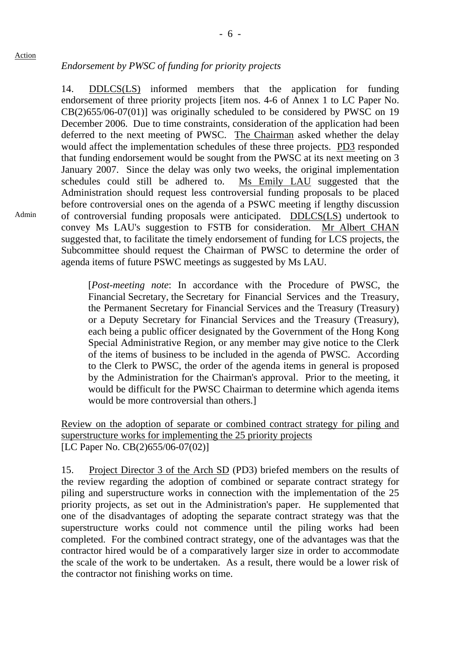# *Endorsement by PWSC of funding for priority projects*

14. DDLCS(LS) informed members that the application for funding endorsement of three priority projects [item nos. 4-6 of Annex 1 to LC Paper No. CB(2)655/06-07(01)] was originally scheduled to be considered by PWSC on 19 December 2006. Due to time constraints, consideration of the application had been deferred to the next meeting of PWSC. The Chairman asked whether the delay would affect the implementation schedules of these three projects. PD3 responded that funding endorsement would be sought from the PWSC at its next meeting on 3 January 2007. Since the delay was only two weeks, the original implementation schedules could still be adhered to. Ms Emily LAU suggested that the Administration should request less controversial funding proposals to be placed before controversial ones on the agenda of a PSWC meeting if lengthy discussion of controversial funding proposals were anticipated. DDLCS(LS) undertook to convey Ms LAU's suggestion to FSTB for consideration. Mr Albert CHAN suggested that, to facilitate the timely endorsement of funding for LCS projects, the Subcommittee should request the Chairman of PWSC to determine the order of agenda items of future PSWC meetings as suggested by Ms LAU.

[*Post-meeting note*: In accordance with the Procedure of PWSC, the Financial Secretary, the Secretary for Financial Services and the Treasury, the Permanent Secretary for Financial Services and the Treasury (Treasury) or a Deputy Secretary for Financial Services and the Treasury (Treasury), each being a public officer designated by the Government of the Hong Kong Special Administrative Region, or any member may give notice to the Clerk of the items of business to be included in the agenda of PWSC. According to the Clerk to PWSC, the order of the agenda items in general is proposed by the Administration for the Chairman's approval. Prior to the meeting, it would be difficult for the PWSC Chairman to determine which agenda items would be more controversial than others.]

Review on the adoption of separate or combined contract strategy for piling and superstructure works for implementing the 25 priority projects [LC Paper No. CB(2)655/06-07(02)]

15. Project Director 3 of the Arch SD (PD3) briefed members on the results of the review regarding the adoption of combined or separate contract strategy for piling and superstructure works in connection with the implementation of the 25 priority projects, as set out in the Administration's paper. He supplemented that one of the disadvantages of adopting the separate contract strategy was that the superstructure works could not commence until the piling works had been completed. For the combined contract strategy, one of the advantages was that the contractor hired would be of a comparatively larger size in order to accommodate the scale of the work to be undertaken. As a result, there would be a lower risk of the contractor not finishing works on time.

Admin

Action